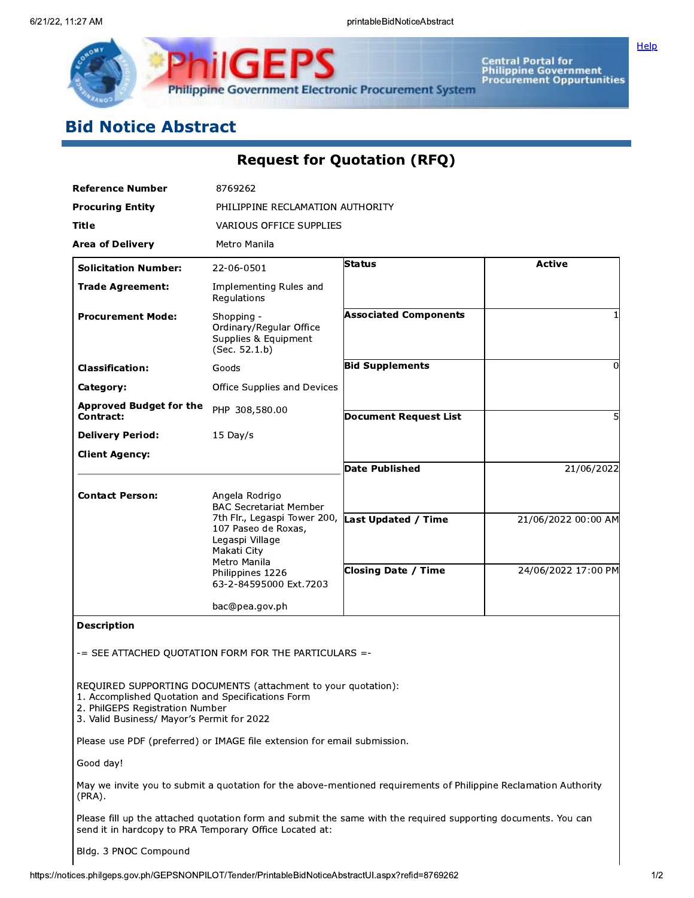

Central Portal for<br>Philippine Government<br>Procurement Oppurtunities

Help

# **Bid Notice Abstract**

## Request for Quotation (RFQ)

| <b>Reference Number</b>                                                                                                            | 8769262                                                                        |                                                                                                                  |                     |  |  |
|------------------------------------------------------------------------------------------------------------------------------------|--------------------------------------------------------------------------------|------------------------------------------------------------------------------------------------------------------|---------------------|--|--|
| <b>Procuring Entity</b>                                                                                                            | PHILIPPINE RECLAMATION AUTHORITY                                               |                                                                                                                  |                     |  |  |
| Title                                                                                                                              | VARIOUS OFFICE SUPPLIES                                                        |                                                                                                                  |                     |  |  |
| <b>Area of Delivery</b>                                                                                                            | Metro Manila                                                                   |                                                                                                                  |                     |  |  |
| <b>Solicitation Number:</b>                                                                                                        | 22-06-0501                                                                     | Status                                                                                                           | <b>Active</b>       |  |  |
| <b>Trade Agreement:</b>                                                                                                            | Implementing Rules and<br>Regulations                                          |                                                                                                                  |                     |  |  |
| <b>Procurement Mode:</b>                                                                                                           | Shopping -<br>Ordinary/Regular Office<br>Supplies & Equipment<br>(Sec. 52.1.b) | <b>Associated Components</b>                                                                                     |                     |  |  |
| <b>Classification:</b>                                                                                                             | Goods                                                                          | <b>Bid Supplements</b>                                                                                           | 0                   |  |  |
| Category:                                                                                                                          | Office Supplies and Devices                                                    |                                                                                                                  |                     |  |  |
| <b>Approved Budget for the</b><br>Contract:                                                                                        | PHP 308,580.00                                                                 | <b>Document Request List</b>                                                                                     | 5                   |  |  |
| <b>Delivery Period:</b>                                                                                                            | 15 Day/s                                                                       |                                                                                                                  |                     |  |  |
| <b>Client Agency:</b>                                                                                                              |                                                                                |                                                                                                                  |                     |  |  |
|                                                                                                                                    |                                                                                | <b>Date Published</b>                                                                                            | 21/06/2022          |  |  |
| <b>Contact Person:</b>                                                                                                             | Angela Rodrigo<br><b>BAC Secretariat Member</b>                                |                                                                                                                  |                     |  |  |
|                                                                                                                                    | 7th Flr., Legaspi Tower 200, Last Updated / Time                               |                                                                                                                  | 21/06/2022 00:00 AM |  |  |
|                                                                                                                                    | 107 Paseo de Roxas,<br>Legaspi Village                                         |                                                                                                                  |                     |  |  |
|                                                                                                                                    | Makati City<br>Metro Manila                                                    |                                                                                                                  |                     |  |  |
|                                                                                                                                    | Philippines 1226<br>63-2-84595000 Ext.7203                                     | <b>Closing Date / Time</b>                                                                                       | 24/06/2022 17:00 PM |  |  |
|                                                                                                                                    |                                                                                |                                                                                                                  |                     |  |  |
|                                                                                                                                    | bac@pea.gov.ph                                                                 |                                                                                                                  |                     |  |  |
| <b>Description</b>                                                                                                                 |                                                                                |                                                                                                                  |                     |  |  |
|                                                                                                                                    | -= SEE ATTACHED QUOTATION FORM FOR THE PARTICULARS =-                          |                                                                                                                  |                     |  |  |
| 1. Accomplished Quotation and Specifications Form<br>2. PhilGEPS Registration Number<br>3. Valid Business/ Mayor's Permit for 2022 | REQUIRED SUPPORTING DOCUMENTS (attachment to your quotation):                  |                                                                                                                  |                     |  |  |
|                                                                                                                                    | Please use PDF (preferred) or IMAGE file extension for email submission.       |                                                                                                                  |                     |  |  |
| Good day!                                                                                                                          |                                                                                |                                                                                                                  |                     |  |  |
| $(PRA)$ .                                                                                                                          |                                                                                | May we invite you to submit a quotation for the above-mentioned requirements of Philippine Reclamation Authority |                     |  |  |
| send it in hardcopy to PRA Temporary Office Located at:                                                                            |                                                                                | Please fill up the attached quotation form and submit the same with the required supporting documents. You can   |                     |  |  |
| Bldg. 3 PNOC Compound                                                                                                              |                                                                                |                                                                                                                  |                     |  |  |
|                                                                                                                                    |                                                                                |                                                                                                                  |                     |  |  |
|                                                                                                                                    |                                                                                |                                                                                                                  |                     |  |  |
| ices.philgeps.gov.ph/GEPSNONPILOT/Tender/PrintableBidNoticeAbstractUI.aspx?refid=8769262                                           |                                                                                |                                                                                                                  |                     |  |  |

#### Bldg. 3 PNOC Compound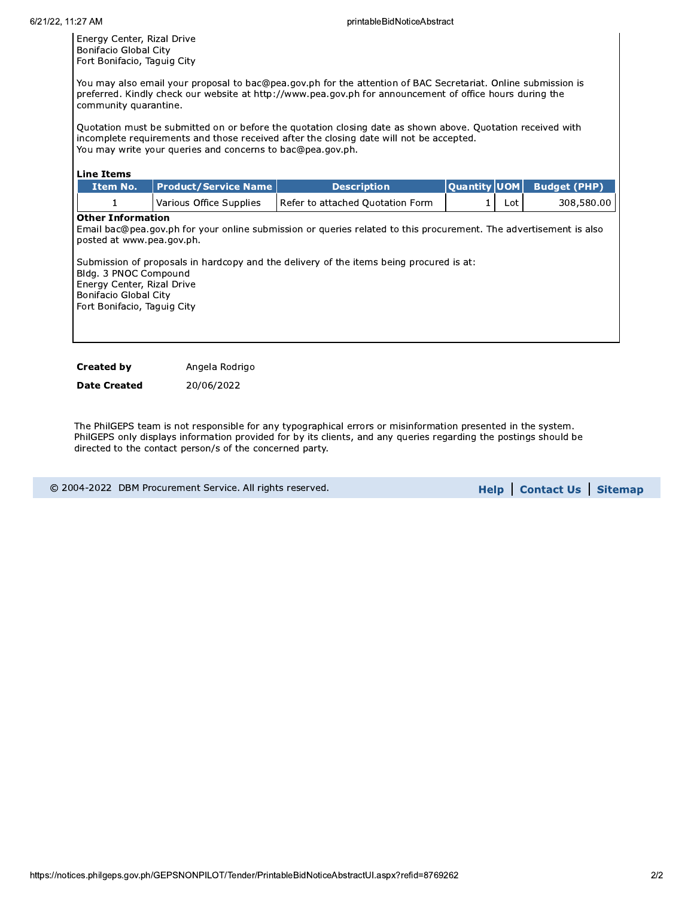Energy Center, Rizal Drive Bonifacio Global City Fort Bonifacio, Taguig City

You may also email your proposal to bac@pea.gov.ph for the attention of BAC Secretariat. Online submission is preferred. Kindly check our website at http://www.pea.gov.ph for announcement of office hours during the community quarantine.

Quotation must be submitted on or before the quotation closing date as shown above. Quotation received with incomplete requirements and those received after the closing date will not be accepted. You may write your queries and concerns to bac@pea.gov.ph.

#### Line Items

| <b>Item No.</b> | Product/Service Name    | <b>Description</b>               |      | Quantity UOM Budget (PHP) |
|-----------------|-------------------------|----------------------------------|------|---------------------------|
|                 | Various Office Supplies | Refer to attached Quotation Form | Lot. | 308,580.00                |

### Other Information

Email bac@pea.gov.ph for your online submission or queries related to this procurement. The advertisement is also posted at www.pea.gov.ph.

Submission of proposals in hardcopy and the delivery of the items being procured is at: Bldg. 3 PNOC Compound Energy Center, Rizal Drive Bonifacio Global City Fort Bonifacio, Taguig City

Created by **Angela Rodrigo** 

**Date Created** 20/06/2022

The PhilGEPS team is not responsible for any typographical errors or misinformation presented in the system. PhilGEPS only displays information provided for by its clients, and any queries regarding the postings should be directed to the contact person/s of the concerned party.

© 2004-2022 DBM Procurement Service. All rights reserved. The state of the state of the state of the Sitemap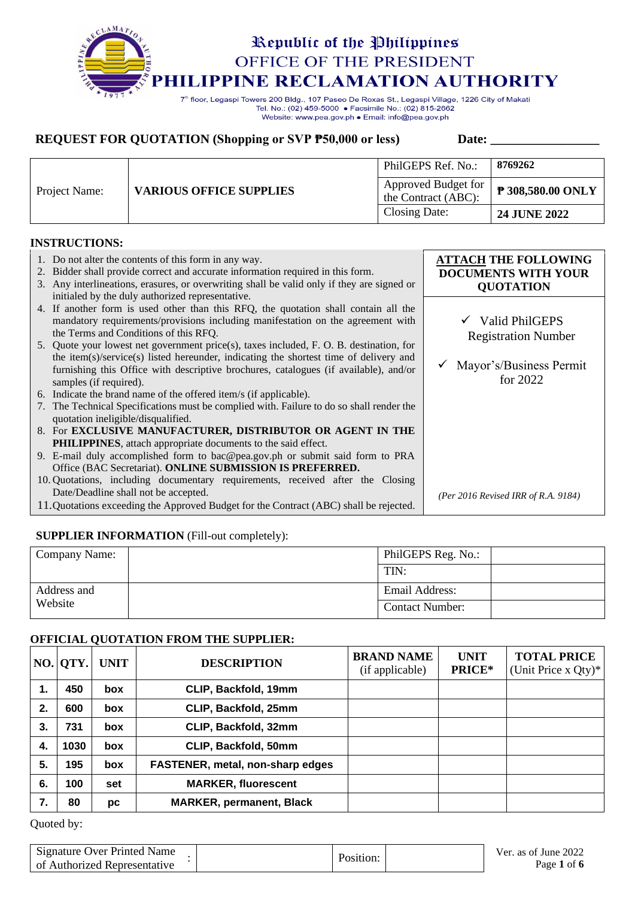# Republic of the Philippines OFFICE OF THE PRESIDENT **LIPPINE RECLAMATION AUTHORITY**

7<sup>th</sup> floor, Legaspi Towers 200 Bldg., 107 Paseo De Roxas St., Legaspi Village, 1226 City of Makati Tel. No.: (02) 459-5000 · Facsimile No.: (02) 815-2662 Website: www.pea.gov.ph . Email: info@pea.gov.ph

## **REQUEST FOR QUOTATION (Shopping or SVP**  $\overline{P50,000}$  **or less)** Date: \_\_\_\_\_\_\_\_\_\_\_

|               | <b>VARIOUS OFFICE SUPPLIES</b> | PhilGEPS Ref. No.:                         | 8769262                       |
|---------------|--------------------------------|--------------------------------------------|-------------------------------|
| Project Name: |                                | Approved Budget for<br>the Contract (ABC): | $\frac{1}{2}$ 308,580.00 ONLY |
|               |                                | Closing Date:                              | <b>24 JUNE 2022</b>           |

### **INSTRUCTIONS:**

| 1. Do not alter the contents of this form in any way.<br>2. Bidder shall provide correct and accurate information required in this form.<br>3. Any interlineations, erasures, or overwriting shall be valid only if they are signed or<br>initialed by the duly authorized representative.         | <b>ATTACH THE FOLLOWING</b><br><b>DOCUMENTS WITH YOUR</b><br><b>QUOTATION</b> |
|----------------------------------------------------------------------------------------------------------------------------------------------------------------------------------------------------------------------------------------------------------------------------------------------------|-------------------------------------------------------------------------------|
| 4. If another form is used other than this RFQ, the quotation shall contain all the<br>mandatory requirements/provisions including manifestation on the agreement with<br>the Terms and Conditions of this RFQ.                                                                                    | $\checkmark$ Valid PhilGEPS<br><b>Registration Number</b>                     |
| 5. Quote your lowest net government price(s), taxes included, F. O. B. destination, for<br>the item(s)/service(s) listed hereunder, indicating the shortest time of delivery and<br>furnishing this Office with descriptive brochures, catalogues (if available), and/or<br>samples (if required). | Mayor's/Business Permit<br>for $2022$                                         |
| 6. Indicate the brand name of the offered item/s (if applicable).                                                                                                                                                                                                                                  |                                                                               |
| 7. The Technical Specifications must be complied with. Failure to do so shall render the<br>quotation ineligible/disqualified.                                                                                                                                                                     |                                                                               |
| 8. For EXCLUSIVE MANUFACTURER, DISTRIBUTOR OR AGENT IN THE                                                                                                                                                                                                                                         |                                                                               |
| <b>PHILIPPINES</b> , attach appropriate documents to the said effect.                                                                                                                                                                                                                              |                                                                               |
| 9. E-mail duly accomplished form to bac@pea.gov.ph or submit said form to PRA                                                                                                                                                                                                                      |                                                                               |
| Office (BAC Secretariat). ONLINE SUBMISSION IS PREFERRED.                                                                                                                                                                                                                                          |                                                                               |
| 10. Quotations, including documentary requirements, received after the Closing                                                                                                                                                                                                                     |                                                                               |
| Date/Deadline shall not be accepted.                                                                                                                                                                                                                                                               | (Per 2016 Revised IRR of R.A. 9184)                                           |
| 11. Quotations exceeding the Approved Budget for the Contract (ABC) shall be rejected.                                                                                                                                                                                                             |                                                                               |

## **SUPPLIER INFORMATION** (Fill-out completely):

| Company Name: | PhilGEPS Reg. No.:     |  |
|---------------|------------------------|--|
|               | TIN:                   |  |
| Address and   | Email Address:         |  |
| Website       | <b>Contact Number:</b> |  |

### **OFFICIAL QUOTATION FROM THE SUPPLIER:**

|    | $NO.$ QTY. | <b>UNIT</b> | <b>DESCRIPTION</b>               | <b>BRAND NAME</b><br>(if applicable) | <b>UNIT</b><br>PRICE* | <b>TOTAL PRICE</b><br>(Unit Price x Qty)* |
|----|------------|-------------|----------------------------------|--------------------------------------|-----------------------|-------------------------------------------|
| 1. | 450        | <b>box</b>  | CLIP, Backfold, 19mm             |                                      |                       |                                           |
| 2. | 600        | <b>box</b>  | CLIP, Backfold, 25mm             |                                      |                       |                                           |
| З. | 731        | box         | CLIP, Backfold, 32mm             |                                      |                       |                                           |
| 4. | 1030       | box         | CLIP, Backfold, 50mm             |                                      |                       |                                           |
| 5. | 195        | <b>box</b>  | FASTENER, metal, non-sharp edges |                                      |                       |                                           |
| 6. | 100        | set         | <b>MARKER, fluorescent</b>       |                                      |                       |                                           |
| 7. | 80         | рc          | <b>MARKER, permanent, Black</b>  |                                      |                       |                                           |

| Signature Over Printed Name<br>of Authorized Representative | Position: | Ver. as of June 2022<br>Page 1 of 6 |
|-------------------------------------------------------------|-----------|-------------------------------------|
|                                                             |           |                                     |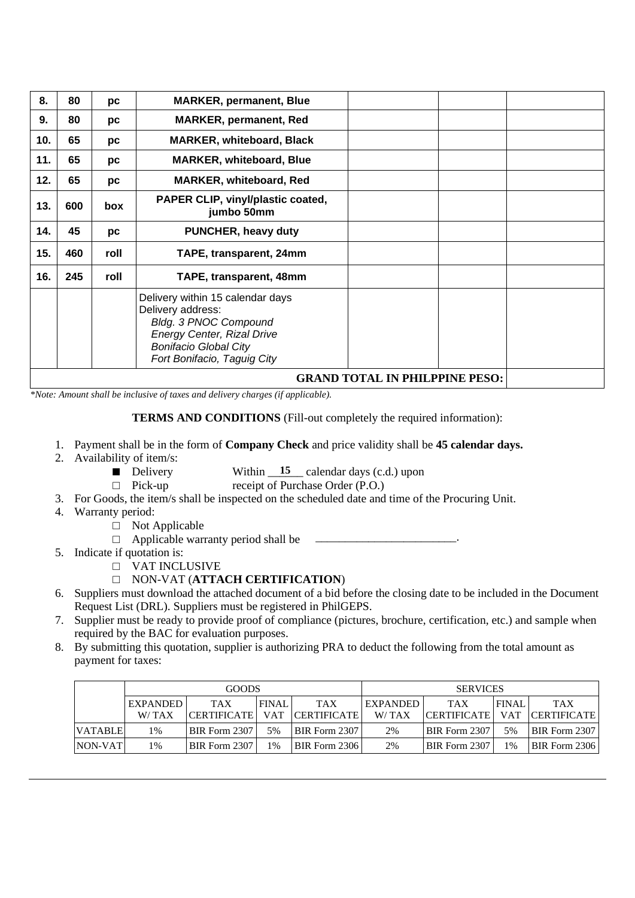| 8.  | 80                                    | рc   | <b>MARKER, permanent, Blue</b>                                                                                                                                                     |  |  |  |  |  |
|-----|---------------------------------------|------|------------------------------------------------------------------------------------------------------------------------------------------------------------------------------------|--|--|--|--|--|
| 9.  | 80                                    | рc   | <b>MARKER, permanent, Red</b>                                                                                                                                                      |  |  |  |  |  |
| 10. | 65                                    | pc   | <b>MARKER, whiteboard, Black</b>                                                                                                                                                   |  |  |  |  |  |
| 11. | 65                                    | рc   | <b>MARKER, whiteboard, Blue</b>                                                                                                                                                    |  |  |  |  |  |
| 12. | 65                                    | pc   | <b>MARKER, whiteboard, Red</b>                                                                                                                                                     |  |  |  |  |  |
| 13. | 600                                   | box  | PAPER CLIP, vinyl/plastic coated,<br>jumbo 50mm                                                                                                                                    |  |  |  |  |  |
| 14. | 45                                    | pc   | <b>PUNCHER, heavy duty</b>                                                                                                                                                         |  |  |  |  |  |
| 15. | 460                                   | roll | TAPE, transparent, 24mm                                                                                                                                                            |  |  |  |  |  |
| 16. | 245                                   | roll | TAPE, transparent, 48mm                                                                                                                                                            |  |  |  |  |  |
|     |                                       |      | Delivery within 15 calendar days<br>Delivery address:<br>Bldg. 3 PNOC Compound<br><b>Energy Center, Rizal Drive</b><br><b>Bonifacio Global City</b><br>Fort Bonifacio, Taguig City |  |  |  |  |  |
|     | <b>GRAND TOTAL IN PHILPPINE PESO:</b> |      |                                                                                                                                                                                    |  |  |  |  |  |

*\*Note: Amount shall be inclusive of taxes and delivery charges (if applicable).*

**TERMS AND CONDITIONS** (Fill-out completely the required information):

- 1. Payment shall be in the form of **Company Check** and price validity shall be **45 calendar days.**
- 2. Availability of item/s:
	- Delivery Within  $\frac{15}{2}$  calendar days (c.d.) upon
	- □ Pick-up receipt of Purchase Order (P.O.)
- 3. For Goods, the item/s shall be inspected on the scheduled date and time of the Procuring Unit.
- 4. Warranty period:
	- □ Not Applicable
	- $\Box$  Applicable warranty period shall be
- 5. Indicate if quotation is:
	- □ VAT INCLUSIVE
	- □ NON-VAT (**ATTACH CERTIFICATION**)
- 6. Suppliers must download the attached document of a bid before the closing date to be included in the Document Request List (DRL). Suppliers must be registered in PhilGEPS.
- 7. Supplier must be ready to provide proof of compliance (pictures, brochure, certification, etc.) and sample when required by the BAC for evaluation purposes.
- 8. By submitting this quotation, supplier is authorizing PRA to deduct the following from the total amount as payment for taxes:

|         | <b>GOODS</b> |                    |              | <b>SERVICES</b>      |                 |                    |              |                      |
|---------|--------------|--------------------|--------------|----------------------|-----------------|--------------------|--------------|----------------------|
|         | EXPANDED     | <b>TAX</b>         | <b>FINAL</b> | <b>TAX</b>           | <b>EXPANDED</b> | <b>TAX</b>         | <b>FINAL</b> | <b>TAX</b>           |
|         | W/TAX        | <b>CERTIFICATE</b> | <b>VAT</b>   | <b>ICERTIFICATE</b>  | W/TAX           | <b>CERTIFICATE</b> |              | VAT CERTIFICATE      |
| VATABLE | 1%           | BIR Form 2307      | 5%           | <b>BIR Form 2307</b> | 2%              | BIR Form 2307      | 5%           | <b>BIR Form 2307</b> |
| NON-VAT | 1%           | BIR Form 2307      | $1\%$        | BIR Form 2306        | 2%              | BIR Form 2307      | 1%           | BIR Form 2306        |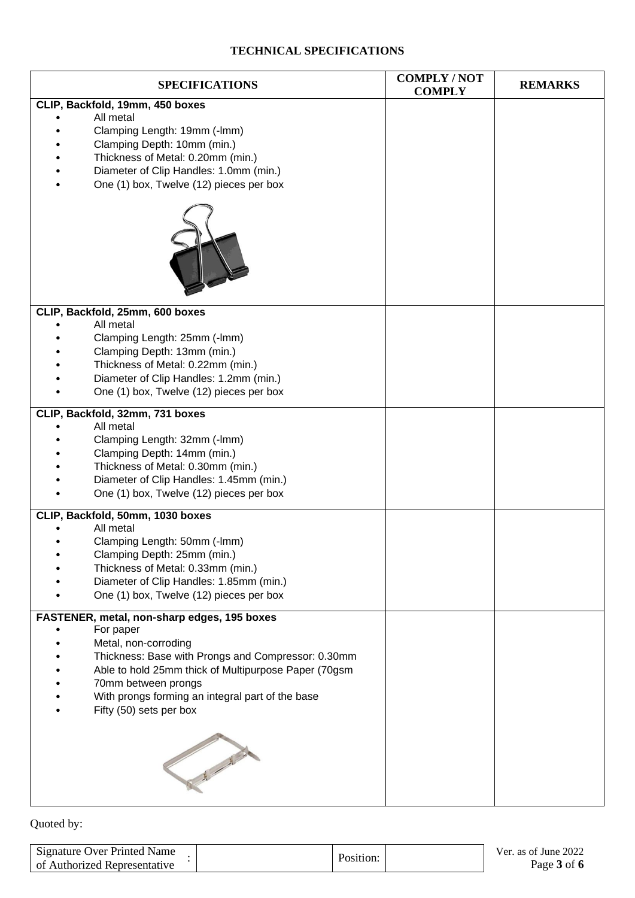## **TECHNICAL SPECIFICATIONS**

| <b>SPECIFICATIONS</b>                                                                                                                                                                                                                                                                                | <b>COMPLY/NOT</b><br><b>COMPLY</b> | <b>REMARKS</b> |
|------------------------------------------------------------------------------------------------------------------------------------------------------------------------------------------------------------------------------------------------------------------------------------------------------|------------------------------------|----------------|
| CLIP, Backfold, 19mm, 450 boxes<br>All metal<br>Clamping Length: 19mm (-lmm)<br>Clamping Depth: 10mm (min.)<br>Thickness of Metal: 0.20mm (min.)<br>Diameter of Clip Handles: 1.0mm (min.)<br>One (1) box, Twelve (12) pieces per box                                                                |                                    |                |
| CLIP, Backfold, 25mm, 600 boxes<br>All metal<br>Clamping Length: 25mm (-lmm)<br>Clamping Depth: 13mm (min.)<br>Thickness of Metal: 0.22mm (min.)<br>Diameter of Clip Handles: 1.2mm (min.)<br>One (1) box, Twelve (12) pieces per box                                                                |                                    |                |
| CLIP, Backfold, 32mm, 731 boxes<br>All metal<br>Clamping Length: 32mm (-lmm)<br>Clamping Depth: 14mm (min.)<br>Thickness of Metal: 0.30mm (min.)<br>Diameter of Clip Handles: 1.45mm (min.)<br>One (1) box, Twelve (12) pieces per box                                                               |                                    |                |
| CLIP, Backfold, 50mm, 1030 boxes<br>All metal<br>Clamping Length: 50mm (-lmm)<br>Clamping Depth: 25mm (min.)<br>Thickness of Metal: 0.33mm (min.)<br>Diameter of Clip Handles: 1.85mm (min.)<br>One (1) box, Twelve (12) pieces per box                                                              |                                    |                |
| FASTENER, metal, non-sharp edges, 195 boxes<br>For paper<br>Metal, non-corroding<br>Thickness: Base with Prongs and Compressor: 0.30mm<br>Able to hold 25mm thick of Multipurpose Paper (70gsm<br>70mm between prongs<br>With prongs forming an integral part of the base<br>Fifty (50) sets per box |                                    |                |
| No. of Contract of                                                                                                                                                                                                                                                                                   |                                    |                |

| Signature Over Printed Name  | Position: | Ver. as of June 2022 |
|------------------------------|-----------|----------------------|
| of Authorized Representative |           | Page 3 of 6          |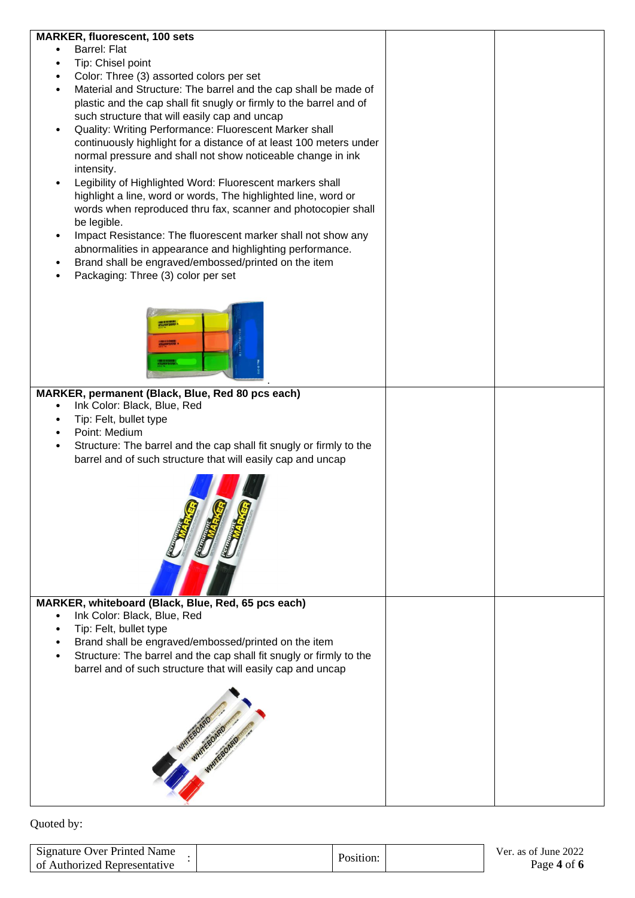| <b>MARKER, fluorescent, 100 sets</b>                                              |  |
|-----------------------------------------------------------------------------------|--|
| <b>Barrel: Flat</b>                                                               |  |
| Tip: Chisel point                                                                 |  |
| Color: Three (3) assorted colors per set                                          |  |
| Material and Structure: The barrel and the cap shall be made of                   |  |
| plastic and the cap shall fit snugly or firmly to the barrel and of               |  |
| such structure that will easily cap and uncap                                     |  |
| Quality: Writing Performance: Fluorescent Marker shall                            |  |
| continuously highlight for a distance of at least 100 meters under                |  |
| normal pressure and shall not show noticeable change in ink                       |  |
| intensity.                                                                        |  |
| Legibility of Highlighted Word: Fluorescent markers shall                         |  |
| highlight a line, word or words, The highlighted line, word or                    |  |
|                                                                                   |  |
| words when reproduced thru fax, scanner and photocopier shall                     |  |
| be legible.                                                                       |  |
| Impact Resistance: The fluorescent marker shall not show any                      |  |
| abnormalities in appearance and highlighting performance.                         |  |
| Brand shall be engraved/embossed/printed on the item                              |  |
| Packaging: Three (3) color per set                                                |  |
|                                                                                   |  |
|                                                                                   |  |
|                                                                                   |  |
|                                                                                   |  |
|                                                                                   |  |
|                                                                                   |  |
|                                                                                   |  |
| MARKER, permanent (Black, Blue, Red 80 pcs each)                                  |  |
| Ink Color: Black, Blue, Red                                                       |  |
| Tip: Felt, bullet type                                                            |  |
| Point: Medium                                                                     |  |
| Structure: The barrel and the cap shall fit snugly or firmly to the               |  |
|                                                                                   |  |
| barrel and of such structure that will easily cap and uncap                       |  |
|                                                                                   |  |
|                                                                                   |  |
|                                                                                   |  |
|                                                                                   |  |
|                                                                                   |  |
|                                                                                   |  |
|                                                                                   |  |
|                                                                                   |  |
|                                                                                   |  |
|                                                                                   |  |
| MARKER, whiteboard (Black, Blue, Red, 65 pcs each)<br>Ink Color: Black, Blue, Red |  |
|                                                                                   |  |
| Tip: Felt, bullet type                                                            |  |
| Brand shall be engraved/embossed/printed on the item                              |  |
| Structure: The barrel and the cap shall fit snugly or firmly to the               |  |
| barrel and of such structure that will easily cap and uncap                       |  |
|                                                                                   |  |
|                                                                                   |  |
|                                                                                   |  |
|                                                                                   |  |
|                                                                                   |  |
|                                                                                   |  |
|                                                                                   |  |
|                                                                                   |  |
|                                                                                   |  |
|                                                                                   |  |

| <b>Signature Over Printed Name</b> |           | Ver. as of June 2022 |
|------------------------------------|-----------|----------------------|
| of Authorized Representative       | Position. | Page 4 of 6          |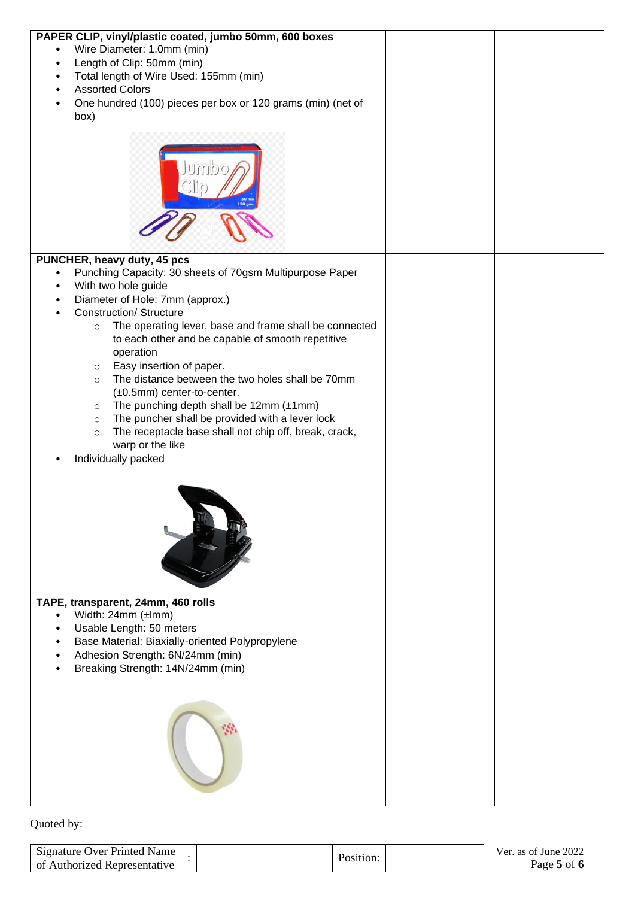| PAPER CLIP, vinyl/plastic coated, jumbo 50mm, 600 boxes                  |  |
|--------------------------------------------------------------------------|--|
| Wire Diameter: 1.0mm (min)                                               |  |
| Length of Clip: 50mm (min)                                               |  |
| Total length of Wire Used: 155mm (min)<br>$\bullet$                      |  |
| <b>Assorted Colors</b>                                                   |  |
| One hundred (100) pieces per box or 120 grams (min) (net of<br>$\bullet$ |  |
|                                                                          |  |
| box)                                                                     |  |
|                                                                          |  |
|                                                                          |  |
|                                                                          |  |
|                                                                          |  |
|                                                                          |  |
|                                                                          |  |
|                                                                          |  |
|                                                                          |  |
|                                                                          |  |
|                                                                          |  |
| PUNCHER, heavy duty, 45 pcs                                              |  |
| Punching Capacity: 30 sheets of 70gsm Multipurpose Paper<br>$\bullet$    |  |
| With two hole guide                                                      |  |
| Diameter of Hole: 7mm (approx.)                                          |  |
| <b>Construction/ Structure</b>                                           |  |
| The operating lever, base and frame shall be connected<br>$\circ$        |  |
| to each other and be capable of smooth repetitive                        |  |
| operation                                                                |  |
| Easy insertion of paper.<br>$\circ$                                      |  |
| The distance between the two holes shall be 70mm<br>$\circ$              |  |
| $(\pm 0.5$ mm) center-to-center.                                         |  |
| The punching depth shall be $12mm (\pm 1mm)$<br>$\circ$                  |  |
| The puncher shall be provided with a lever lock<br>$\circ$               |  |
| The receptacle base shall not chip off, break, crack,<br>$\circ$         |  |
| warp or the like                                                         |  |
| Individually packed                                                      |  |
|                                                                          |  |
|                                                                          |  |
|                                                                          |  |
|                                                                          |  |
|                                                                          |  |
|                                                                          |  |
|                                                                          |  |
|                                                                          |  |
|                                                                          |  |
|                                                                          |  |
|                                                                          |  |
| TAPE, transparent, 24mm, 460 rolls                                       |  |
| Width: 24mm (±lmm)                                                       |  |
| Usable Length: 50 meters                                                 |  |
| Base Material: Biaxially-oriented Polypropylene                          |  |
| Adhesion Strength: 6N/24mm (min)                                         |  |
| Breaking Strength: 14N/24mm (min)                                        |  |
|                                                                          |  |
|                                                                          |  |
|                                                                          |  |
|                                                                          |  |
|                                                                          |  |
|                                                                          |  |
|                                                                          |  |
|                                                                          |  |
|                                                                          |  |
|                                                                          |  |
|                                                                          |  |

| Signature Over Printed Name  |           | Ver. as of June 2022 |
|------------------------------|-----------|----------------------|
| of Authorized Representative | Position: | Page 5 of 6          |